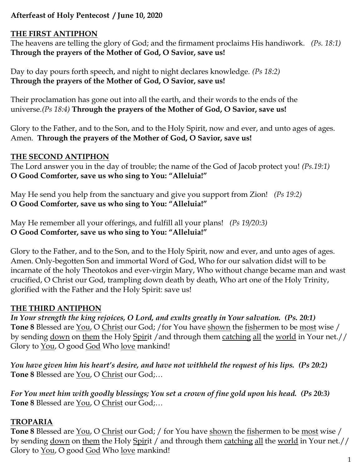## **Afterfeast of Holy Pentecost / June 10, 2020**

#### **THE FIRST ANTIPHON**

The heavens are telling the glory of God; and the firmament proclaims His handiwork. *(Ps. 18:1)* **Through the prayers of the Mother of God, O Savior, save us!**

Day to day pours forth speech, and night to night declares knowledge. *(Ps 18:2)* **Through the prayers of the Mother of God, O Savior, save us!**

Their proclamation has gone out into all the earth, and their words to the ends of the universe.*(Ps 18:4)* **Through the prayers of the Mother of God, O Savior, save us!**

Glory to the Father, and to the Son, and to the Holy Spirit, now and ever, and unto ages of ages. Amen. **Through the prayers of the Mother of God, O Savior, save us!**

### **THE SECOND ANTIPHON**

The Lord answer you in the day of trouble; the name of the God of Jacob protect you! *(Ps.19:1)* **O Good Comforter, save us who sing to You: "Alleluia!"**

May He send you help from the sanctuary and give you support from Zion! *(Ps 19:2)* **O Good Comforter, save us who sing to You: "Alleluia!"**

May He remember all your offerings, and fulfill all your plans! *(Ps 19/20:3)* **O Good Comforter, save us who sing to You: "Alleluia!"**

Glory to the Father, and to the Son, and to the Holy Spirit, now and ever, and unto ages of ages. Amen. Only-begotten Son and immortal Word of God, Who for our salvation didst will to be incarnate of the holy Theotokos and ever-virgin Mary, Who without change became man and wast crucified, O Christ our God, trampling down death by death, Who art one of the Holy Trinity, glorified with the Father and the Holy Spirit: save us!

### **THE THIRD ANTIPHON**

*In Your strength the king rejoices, O Lord, and exults greatly in Your salvation. (Ps. 20:1)*  Tone 8 Blessed are <u>You</u>, O Christ our God; /for You have shown the fishermen to be most wise / by sending down on them the Holy Spirit / and through them catching all the world in Your net.// Glory to You, O good God Who love mankind!

*You have given him his heart's desire, and have not withheld the request of his lips. (Ps 20:2)* **Tone 8** Blessed are You, O Christ our God;…

*For You meet him with goodly blessings; You set a crown of fine gold upon his head. (Ps 20:3)* **Tone 8** Blessed are You, O Christ our God;…

### **TROPARIA**

**Tone 8** Blessed are You, O Christ our God; / for You have shown the fishermen to be most wise / by sending down on them the Holy Spirit / and through them catching all the world in Your net.// Glory to <u>You</u>, O good God Who love mankind!